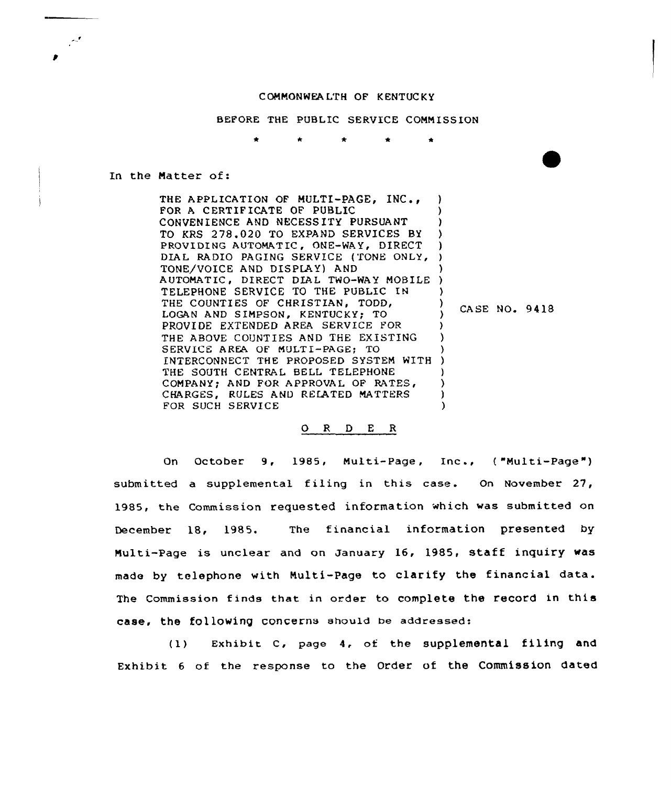## COMMONWEALTH OF KENTUCKY

BEFORE THE PUBLIC SERVICE COMMISSION

## In the Natter of:

THE APPLICATION OF MULTI-PAGE. INC.. FOR <sup>A</sup> CERTIF ICATE OF PUBLIC CONVENIENCE AND NECESSITY PURSUANT TO KRS 278.020 TO EXPAND SERVICES BY PROVIDING AUTOMATIC, ONE-WAY, DIRECT PROVIDING AUTOMATIC, ONE-WAY, DIRECT |<br>DIAL RADIO PAGING SERVICE (TONE ONLY, ) TONE/VOICE AND DISPLAY) AND AUTOMATIC, DIRECT DIAL TWO-WAY MOBILE TELEPHONE SERVICE TO THE PUBLIC IN THE COUNTIES OF CHRISTIAN, TODD, LOGAN AND SIMPSON, KENTUCKY; TO PROVIDE EXTENDED AREA SERVICE FOR THE ABOVE COUNTIES AND THE EXISTING SERVICE AREA OF MULTI-PAGE; TO INTERCONNECT THE PROPOSED SYSTEM WITH ) THE SOUTH CENTRAL BELL TELEPHONE COMPANY; AND FOR APPROVAL OF RATES, CHARGES, RULES AND RELATED MATTERS FOR SUCH SERVICE ) ) ) ) ) ) ) ) ) ) ) ) ) ) )

## ) CASE NO. 9418

## 0 <sup>R</sup> <sup>D</sup> <sup>E</sup> <sup>R</sup>

On October 9, 1985, Multi-Page, Inc., ("Multi-Page") submitted a supplemental filing in this case. On November 27, 1985, the Commission requested information which was submitted on December 18, 1985. The financial information presented by Multi-Page is unclear and on January 16, 1985, staff inquiry was made by telephone with Multi-Page to clarify the financial data. The commission finds that in order to complete the record in this case, the following concerns should be addressed:

(1) EXhibit C, Page 4. of the Supplemental filing and Exhibit 6 of the response to the Order of the Commission dated